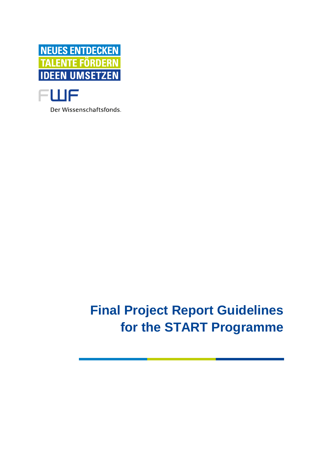



Der Wissenschaftsfonds.

# **Final Project Report Guidelines for the START Programme**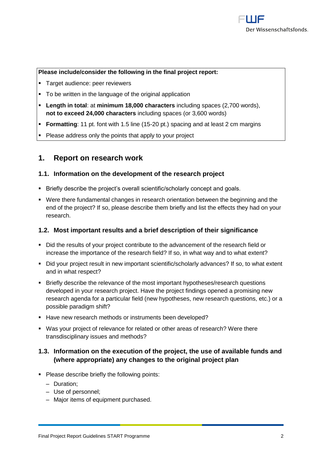#### **Please include/consider the following in the final project report:**

- Target audience: peer reviewers
- To be written in the language of the original application
- **Length in total**: at **minimum 18,000 characters** including spaces (2,700 words), **not to exceed 24,000 characters** including spaces (or 3,600 words)
- **Formatting**: 11 pt. font with 1.5 line (15-20 pt.) spacing and at least 2 cm margins
- Please address only the points that apply to your project

### **1. Report on research work**

#### **1.1. Information on the development of the research project**

- **EXECT:** Briefly describe the project's overall scientific/scholarly concept and goals.
- Were there fundamental changes in research orientation between the beginning and the end of the project? If so, please describe them briefly and list the effects they had on your research.

#### **1.2. Most important results and a brief description of their significance**

- Did the results of your project contribute to the advancement of the research field or increase the importance of the research field? If so, in what way and to what extent?
- Did your project result in new important scientific/scholarly advances? If so, to what extent and in what respect?
- Briefly describe the relevance of the most important hypotheses/research questions developed in your research project. Have the project findings opened a promising new research agenda for a particular field (new hypotheses, new research questions, etc.) or a possible paradigm shift?
- Have new research methods or instruments been developed?
- Was your project of relevance for related or other areas of research? Were there transdisciplinary issues and methods?

#### **1.3. Information on the execution of the project, the use of available funds and (where appropriate) any changes to the original project plan**

- Please describe briefly the following points:
	- ‒ Duration;
	- ‒ Use of personnel;
	- Major items of equipment purchased.